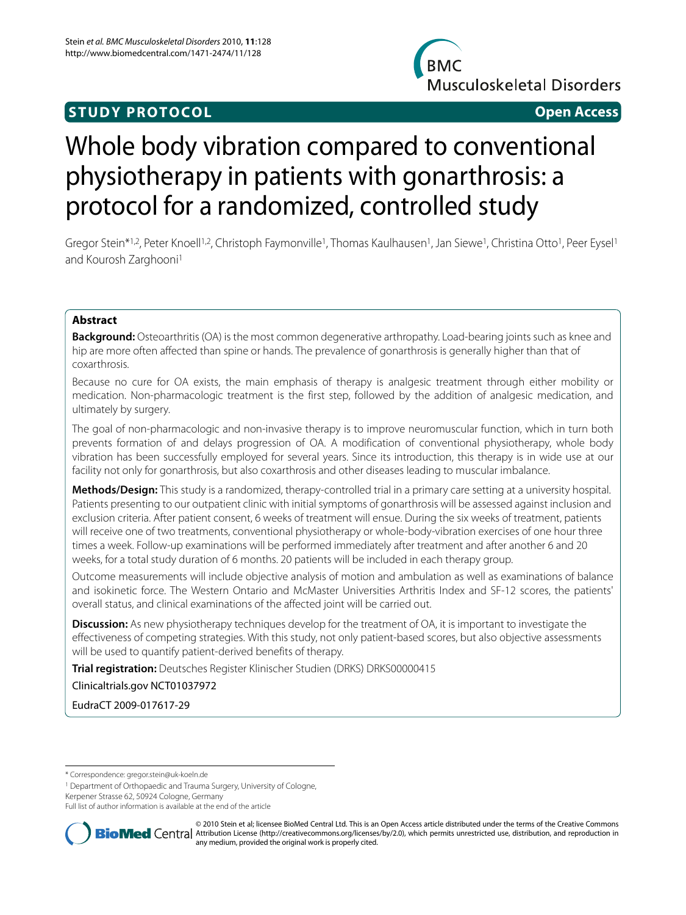# **STUDY PROTOCOL Open Access**



# Whole body vibration compared to conventional physiotherapy in patients with gonarthrosis: a protocol for a randomized, controlled study

Gregor Stein\*1,2, Peter Knoell1,2, Christoph Faymonville1, Thomas Kaulhausen1, Jan Siewe1, Christina Otto1, Peer Eysel1 and Kourosh Zarghooni1

# **Abstract**

**Background:** Osteoarthritis (OA) is the most common degenerative arthropathy. Load-bearing joints such as knee and hip are more often affected than spine or hands. The prevalence of gonarthrosis is generally higher than that of coxarthrosis.

Because no cure for OA exists, the main emphasis of therapy is analgesic treatment through either mobility or medication. Non-pharmacologic treatment is the first step, followed by the addition of analgesic medication, and ultimately by surgery.

The goal of non-pharmacologic and non-invasive therapy is to improve neuromuscular function, which in turn both prevents formation of and delays progression of OA. A modification of conventional physiotherapy, whole body vibration has been successfully employed for several years. Since its introduction, this therapy is in wide use at our facility not only for gonarthrosis, but also coxarthrosis and other diseases leading to muscular imbalance.

**Methods/Design:** This study is a randomized, therapy-controlled trial in a primary care setting at a university hospital. Patients presenting to our outpatient clinic with initial symptoms of gonarthrosis will be assessed against inclusion and exclusion criteria. After patient consent, 6 weeks of treatment will ensue. During the six weeks of treatment, patients will receive one of two treatments, conventional physiotherapy or whole-body-vibration exercises of one hour three times a week. Follow-up examinations will be performed immediately after treatment and after another 6 and 20 weeks, for a total study duration of 6 months. 20 patients will be included in each therapy group.

Outcome measurements will include objective analysis of motion and ambulation as well as examinations of balance and isokinetic force. The Western Ontario and McMaster Universities Arthritis Index and SF-12 scores, the patients' overall status, and clinical examinations of the affected joint will be carried out.

**Discussion:** As new physiotherapy techniques develop for the treatment of OA, it is important to investigate the effectiveness of competing strategies. With this study, not only patient-based scores, but also objective assessments will be used to quantify patient-derived benefits of therapy.

**Trial registration:** Deutsches Register Klinischer Studien (DRKS) DRKS00000415

Clinicaltrials.gov NCT01037972

EudraCT 2009-017617-29

<sup>1</sup> Department of Orthopaedic and Trauma Surgery, University of Cologne,

Kerpener Strasse 62, 50924 Cologne, Germany

Full list of author information is available at the end of the article



© 2010 Stein et al; licensee BioMed Central Ltd. This is an Open Access article distributed under the terms of the Creative Commons **BioMed** Central Attribution License (http://creativecommons.org/licenses/by/2.0), which permits unrestricted use, distribution, and reproduction in any medium, provided the original work is properly cited.

<sup>\*</sup> Correspondence: gregor.stein@uk-koeln.de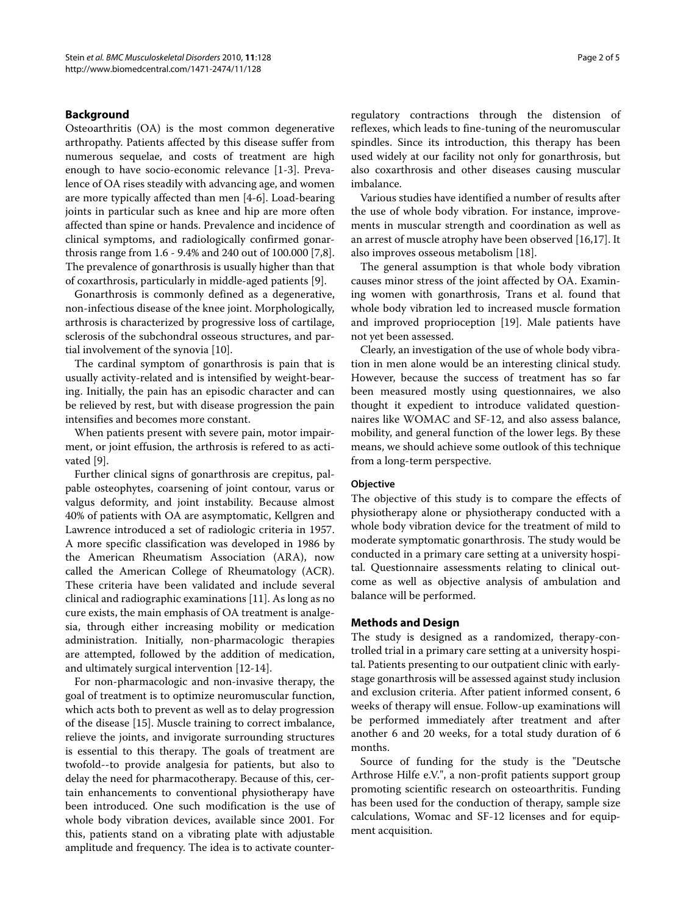# **Background**

Osteoarthritis (OA) is the most common degenerative arthropathy. Patients affected by this disease suffer from numerous sequelae, and costs of treatment are high enough to have socio-economic relevance [\[1](#page-3-0)-[3\]](#page-3-1). Prevalence of OA rises steadily with advancing age, and women are more typically affected than men [\[4](#page-3-2)[-6](#page-3-3)]. Load-bearing joints in particular such as knee and hip are more often affected than spine or hands. Prevalence and incidence of clinical symptoms, and radiologically confirmed gonarthrosis range from 1.6 - 9.4% and 240 out of 100.000 [\[7](#page-4-0)[,8](#page-4-1)]. The prevalence of gonarthrosis is usually higher than that of coxarthrosis, particularly in middle-aged patients [\[9](#page-4-2)].

Gonarthrosis is commonly defined as a degenerative, non-infectious disease of the knee joint. Morphologically, arthrosis is characterized by progressive loss of cartilage, sclerosis of the subchondral osseous structures, and partial involvement of the synovia [[10\]](#page-4-3).

The cardinal symptom of gonarthrosis is pain that is usually activity-related and is intensified by weight-bearing. Initially, the pain has an episodic character and can be relieved by rest, but with disease progression the pain intensifies and becomes more constant.

When patients present with severe pain, motor impairment, or joint effusion, the arthrosis is refered to as activated [\[9](#page-4-2)].

Further clinical signs of gonarthrosis are crepitus, palpable osteophytes, coarsening of joint contour, varus or valgus deformity, and joint instability. Because almost 40% of patients with OA are asymptomatic, Kellgren and Lawrence introduced a set of radiologic criteria in 1957. A more specific classification was developed in 1986 by the American Rheumatism Association (ARA), now called the American College of Rheumatology (ACR). These criteria have been validated and include several clinical and radiographic examinations [\[11](#page-4-4)]. As long as no cure exists, the main emphasis of OA treatment is analgesia, through either increasing mobility or medication administration. Initially, non-pharmacologic therapies are attempted, followed by the addition of medication, and ultimately surgical intervention [[12](#page-4-5)-[14\]](#page-4-6).

For non-pharmacologic and non-invasive therapy, the goal of treatment is to optimize neuromuscular function, which acts both to prevent as well as to delay progression of the disease [\[15](#page-4-7)]. Muscle training to correct imbalance, relieve the joints, and invigorate surrounding structures is essential to this therapy. The goals of treatment are twofold--to provide analgesia for patients, but also to delay the need for pharmacotherapy. Because of this, certain enhancements to conventional physiotherapy have been introduced. One such modification is the use of whole body vibration devices, available since 2001. For this, patients stand on a vibrating plate with adjustable amplitude and frequency. The idea is to activate counter-

regulatory contractions through the distension of reflexes, which leads to fine-tuning of the neuromuscular spindles. Since its introduction, this therapy has been used widely at our facility not only for gonarthrosis, but also coxarthrosis and other diseases causing muscular imbalance.

Various studies have identified a number of results after the use of whole body vibration. For instance, improvements in muscular strength and coordination as well as an arrest of muscle atrophy have been observed [[16,](#page-4-8)[17\]](#page-4-9). It also improves osseous metabolism [[18\]](#page-4-10).

The general assumption is that whole body vibration causes minor stress of the joint affected by OA. Examining women with gonarthrosis, Trans et al. found that whole body vibration led to increased muscle formation and improved proprioception [[19\]](#page-4-11). Male patients have not yet been assessed.

Clearly, an investigation of the use of whole body vibration in men alone would be an interesting clinical study. However, because the success of treatment has so far been measured mostly using questionnaires, we also thought it expedient to introduce validated questionnaires like WOMAC and SF-12, and also assess balance, mobility, and general function of the lower legs. By these means, we should achieve some outlook of this technique from a long-term perspective.

# **Objective**

The objective of this study is to compare the effects of physiotherapy alone or physiotherapy conducted with a whole body vibration device for the treatment of mild to moderate symptomatic gonarthrosis. The study would be conducted in a primary care setting at a university hospital. Questionnaire assessments relating to clinical outcome as well as objective analysis of ambulation and balance will be performed.

# **Methods and Design**

The study is designed as a randomized, therapy-controlled trial in a primary care setting at a university hospital. Patients presenting to our outpatient clinic with earlystage gonarthrosis will be assessed against study inclusion and exclusion criteria. After patient informed consent, 6 weeks of therapy will ensue. Follow-up examinations will be performed immediately after treatment and after another 6 and 20 weeks, for a total study duration of 6 months.

Source of funding for the study is the "Deutsche Arthrose Hilfe e.V.", a non-profit patients support group promoting scientific research on osteoarthritis. Funding has been used for the conduction of therapy, sample size calculations, Womac and SF-12 licenses and for equipment acquisition.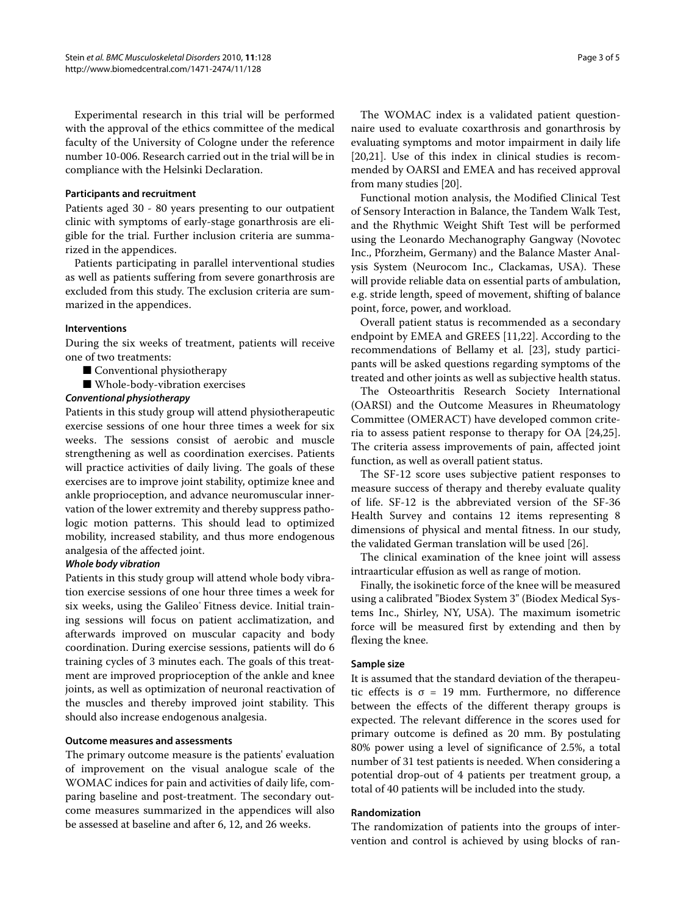Experimental research in this trial will be performed with the approval of the ethics committee of the medical faculty of the University of Cologne under the reference number 10-006. Research carried out in the trial will be in compliance with the Helsinki Declaration.

## **Participants and recruitment**

Patients aged 30 - 80 years presenting to our outpatient clinic with symptoms of early-stage gonarthrosis are eligible for the trial. Further inclusion criteria are summarized in the appendices.

Patients participating in parallel interventional studies as well as patients suffering from severe gonarthrosis are excluded from this study. The exclusion criteria are summarized in the appendices.

# **Interventions**

During the six weeks of treatment, patients will receive one of two treatments:

- $\blacksquare$  Conventional physiotherapy
- $\blacksquare$  Whole-body-vibration exercises

# *Conventional physiotherapy*

Patients in this study group will attend physiotherapeutic exercise sessions of one hour three times a week for six weeks. The sessions consist of aerobic and muscle strengthening as well as coordination exercises. Patients will practice activities of daily living. The goals of these exercises are to improve joint stability, optimize knee and ankle proprioception, and advance neuromuscular innervation of the lower extremity and thereby suppress pathologic motion patterns. This should lead to optimized mobility, increased stability, and thus more endogenous analgesia of the affected joint.

# *Whole body vibration*

Patients in this study group will attend whole body vibration exercise sessions of one hour three times a week for six weeks, using the Galileo<sup>®</sup> Fitness device. Initial training sessions will focus on patient acclimatization, and afterwards improved on muscular capacity and body coordination. During exercise sessions, patients will do 6 training cycles of 3 minutes each. The goals of this treatment are improved proprioception of the ankle and knee joints, as well as optimization of neuronal reactivation of the muscles and thereby improved joint stability. This should also increase endogenous analgesia.

# **Outcome measures and assessments**

The primary outcome measure is the patients' evaluation of improvement on the visual analogue scale of the WOMAC indices for pain and activities of daily life, comparing baseline and post-treatment. The secondary outcome measures summarized in the appendices will also be assessed at baseline and after 6, 12, and 26 weeks.

The WOMAC index is a validated patient questionnaire used to evaluate coxarthrosis and gonarthrosis by evaluating symptoms and motor impairment in daily life [[20,](#page-4-12)[21\]](#page-4-13). Use of this index in clinical studies is recommended by OARSI and EMEA and has received approval from many studies [[20\]](#page-4-12).

Functional motion analysis, the Modified Clinical Test of Sensory Interaction in Balance, the Tandem Walk Test, and the Rhythmic Weight Shift Test will be performed using the Leonardo Mechanography Gangway (Novotec Inc., Pforzheim, Germany) and the Balance Master Analysis System (Neurocom Inc., Clackamas, USA). These will provide reliable data on essential parts of ambulation, e.g. stride length, speed of movement, shifting of balance point, force, power, and workload.

Overall patient status is recommended as a secondary endpoint by EMEA and GREES [[11,](#page-4-4)[22\]](#page-4-14). According to the recommendations of Bellamy et al. [\[23](#page-4-15)], study participants will be asked questions regarding symptoms of the treated and other joints as well as subjective health status.

The Osteoarthritis Research Society International (OARSI) and the Outcome Measures in Rheumatology Committee (OMERACT) have developed common criteria to assess patient response to therapy for OA [\[24](#page-4-16)[,25](#page-4-17)]. The criteria assess improvements of pain, affected joint function, as well as overall patient status.

The SF-12 score uses subjective patient responses to measure success of therapy and thereby evaluate quality of life. SF-12 is the abbreviated version of the SF-36 Health Survey and contains 12 items representing 8 dimensions of physical and mental fitness. In our study, the validated German translation will be used [[26\]](#page-4-18).

The clinical examination of the knee joint will assess intraarticular effusion as well as range of motion.

Finally, the isokinetic force of the knee will be measured using a calibrated "Biodex System 3" (Biodex Medical Systems Inc., Shirley, NY, USA). The maximum isometric force will be measured first by extending and then by flexing the knee.

# **Sample size**

It is assumed that the standard deviation of the therapeutic effects is  $σ = 19$  mm. Furthermore, no difference between the effects of the different therapy groups is expected. The relevant difference in the scores used for primary outcome is defined as 20 mm. By postulating 80% power using a level of significance of 2.5%, a total number of 31 test patients is needed. When considering a potential drop-out of 4 patients per treatment group, a total of 40 patients will be included into the study.

#### **Randomization**

The randomization of patients into the groups of intervention and control is achieved by using blocks of ran-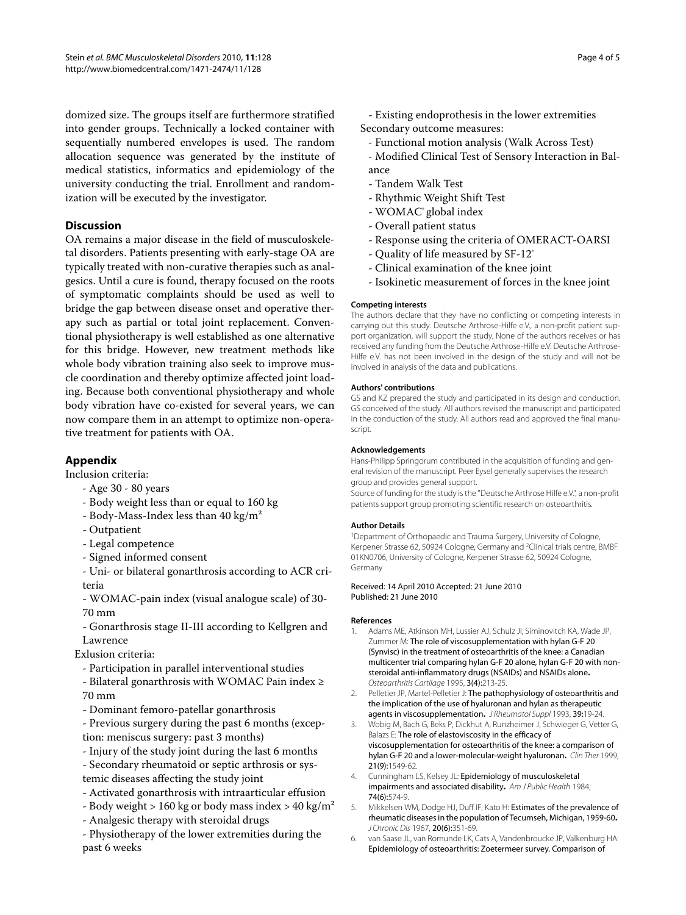domized size. The groups itself are furthermore stratified into gender groups. Technically a locked container with sequentially numbered envelopes is used. The random allocation sequence was generated by the institute of medical statistics, informatics and epidemiology of the university conducting the trial. Enrollment and randomization will be executed by the investigator.

# **Discussion**

OA remains a major disease in the field of musculoskeletal disorders. Patients presenting with early-stage OA are typically treated with non-curative therapies such as analgesics. Until a cure is found, therapy focused on the roots of symptomatic complaints should be used as well to bridge the gap between disease onset and operative therapy such as partial or total joint replacement. Conventional physiotherapy is well established as one alternative for this bridge. However, new treatment methods like whole body vibration training also seek to improve muscle coordination and thereby optimize affected joint loading. Because both conventional physiotherapy and whole body vibration have co-existed for several years, we can now compare them in an attempt to optimize non-operative treatment for patients with OA.

# **Appendix**

Inclusion criteria:

- Age 30 80 years
- Body weight less than or equal to 160 kg
- Body-Mass-Index less than  $40 \text{ kg/m}^2$
- Outpatient
- Legal competence
- Signed informed consent
- Uni- or bilateral gonarthrosis according to ACR criteria
- WOMAC-pain index (visual analogue scale) of 30- 70 mm
- Gonarthrosis stage II-III according to Kellgren and Lawrence
- Exlusion criteria:
	- Participation in parallel interventional studies
- Bilateral gonarthrosis with WOMAC Pain index ≥ 70 mm
- Dominant femoro-patellar gonarthrosis
- Previous surgery during the past 6 months (exception: meniscus surgery: past 3 months)
- Injury of the study joint during the last 6 months
- Secondary rheumatoid or septic arthrosis or sys-
- temic diseases affecting the study joint
- Activated gonarthrosis with intraarticular effusion
- Body weight  $> 160$  kg or body mass index  $> 40$  kg/m<sup>2</sup>
- Analgesic therapy with steroidal drugs

- Physiotherapy of the lower extremities during the past 6 weeks

- Existing endoprothesis in the lower extremities Secondary outcome measures:

- Functional motion analysis (Walk Across Test)
- Modified Clinical Test of Sensory Interaction in Balance
- Tandem Walk Test
- Rhythmic Weight Shift Test
- WOMAC<sup>®</sup> global index
- Overall patient status
- Response using the criteria of OMERACT-OARSI
- Quality of life measured by SF-12®
- Clinical examination of the knee joint
- Isokinetic measurement of forces in the knee joint

#### **Competing interests**

The authors declare that they have no conflicting or competing interests in carrying out this study. Deutsche Arthrose-Hilfe e.V., a non-profit patient support organization, will support the study. None of the authors receives or has received any funding from the Deutsche Arthrose-Hilfe e.V. Deutsche Arthrose-Hilfe e.V. has not been involved in the design of the study and will not be involved in analysis of the data and publications.

# **Authors' contributions**

GS and KZ prepared the study and participated in its design and conduction. GS conceived of the study. All authors revised the manuscript and participated in the conduction of the study. All authors read and approved the final manuscript.

#### **Acknowledgements**

Hans-Philipp Springorum contributed in the acquisition of funding and general revision of the manuscript. Peer Eysel generally supervises the research group and provides general support.

Source of funding for the study is the "Deutsche Arthrose Hilfe e.V.", a non-profit patients support group promoting scientific research on osteoarthritis.

#### **Author Details**

1Department of Orthopaedic and Trauma Surgery, University of Cologne, Kerpener Strasse 62, 50924 Cologne, Germany and 2Clinical trials centre, BMBF 01KN0706, University of Cologne, Kerpener Strasse 62, 50924 Cologne, Germany

#### Received: 14 April 2010 Accepted: 21 June 2010 Published: 21 June 2010

#### **References**

- <span id="page-3-0"></span>1. Adams ME, Atkinson MH, Lussier AJ, Schulz JI, Siminovitch KA, Wade JP, Zummer M: The role of viscosupplementation with hylan G-F 20 (Synvisc) in the treatment of osteoarthritis of the knee: a Canadian multicenter trial comparing hylan G-F 20 alone, hylan G-F 20 with nonsteroidal anti-inflammatory drugs (NSAIDs) and NSAIDs alone**.** Osteoarthritis Cartilage 1995, 3(4):213-25.
- 2. Pelletier JP, Martel-Pelletier J: The pathophysiology of osteoarthritis and the implication of the use of hyaluronan and hylan as therapeutic agents in viscosupplementation**.** J Rheumatol Suppl 1993, 39:19-24.
- <span id="page-3-1"></span>3. Wobig M, Bach G, Beks P, Dickhut A, Runzheimer J, Schwieger G, Vetter G, Balazs E: The role of elastoviscosity in the efficacy of viscosupplementation for osteoarthritis of the knee: a comparison of hylan G-F 20 and a lower-molecular-weight hyaluronan**.** Clin Ther 1999, 21(9):1549-62.
- <span id="page-3-2"></span>4. Cunningham LS, Kelsey JL: Epidemiology of musculoskeletal impairments and associated disability**.** Am J Public Health 1984, 74(6):574-9.
- 5. Mikkelsen WM, Dodge HJ, Duff IF, Kato H: Estimates of the prevalence of rheumatic diseases in the population of Tecumseh, Michigan, 1959-60**.** J Chronic Dis 1967, 20(6):351-69.
- <span id="page-3-3"></span>6. van Saase JL, van Romunde LK, Cats A, Vandenbroucke JP, Valkenburg HA: Epidemiology of osteoarthritis: Zoetermeer survey. Comparison of